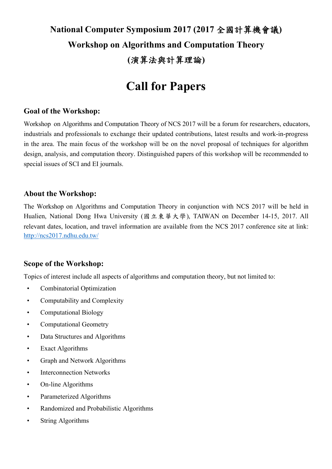# **National Computer Symposium 2017 (2017** 全國計算機會議**) Workshop on Algorithms and Computation Theory (**演算法與計算理論**)**

# **Call for Papers**

### **Goal of the Workshop:**

Workshop on Algorithms and Computation Theory of NCS 2017 will be a forum for researchers, educators, industrials and professionals to exchange their updated contributions, latest results and work-in-progress in the area. The main focus of the workshop will be on the novel proposal of techniques for algorithm design, analysis, and computation theory. Distinguished papers of this workshop will be recommended to special issues of SCI and EI journals.

#### **About the Workshop:**

The Workshop on Algorithms and Computation Theory in conjunction with NCS 2017 will be held in Hualien, National Dong Hwa University (國立東華大學), TAIWAN on December 14-15, 2017. All relevant dates, location, and travel information are available from the NCS 2017 conference site at link: http://ncs2017.ndhu.edu.tw/

### **Scope of the Workshop:**

Topics of interest include all aspects of algorithms and computation theory, but not limited to:

- Combinatorial Optimization
- Computability and Complexity
- Computational Biology
- Computational Geometry
- Data Structures and Algorithms
- Exact Algorithms
- Graph and Network Algorithms
- Interconnection Networks
- On-line Algorithms
- Parameterized Algorithms
- Randomized and Probabilistic Algorithms
- String Algorithms